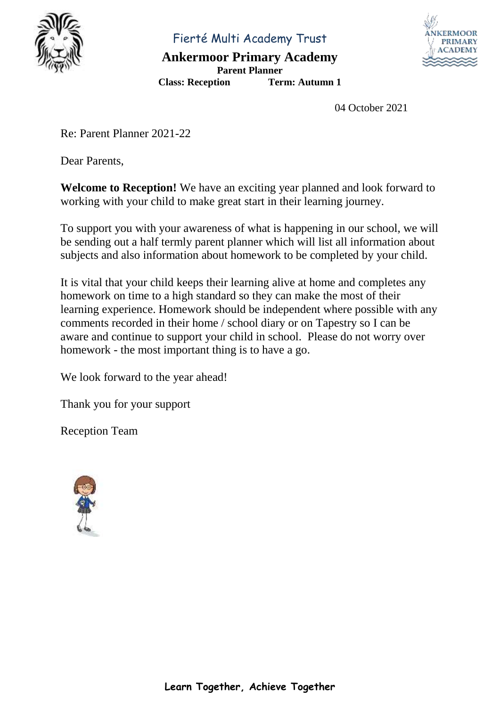

Fierté Multi Academy Trust

**Ankermoor Primary Academy Parent Planner**

**Class: Reception Term: Autumn 1**

04 October 2021

Re: Parent Planner 2021-22

Dear Parents,

**Welcome to Reception!** We have an exciting year planned and look forward to working with your child to make great start in their learning journey.

To support you with your awareness of what is happening in our school, we will be sending out a half termly parent planner which will list all information about subjects and also information about homework to be completed by your child.

It is vital that your child keeps their learning alive at home and completes any homework on time to a high standard so they can make the most of their learning experience. Homework should be independent where possible with any comments recorded in their home / school diary or on Tapestry so I can be aware and continue to support your child in school. Please do not worry over homework - the most important thing is to have a go.

We look forward to the year ahead!

Thank you for your support

Reception Team

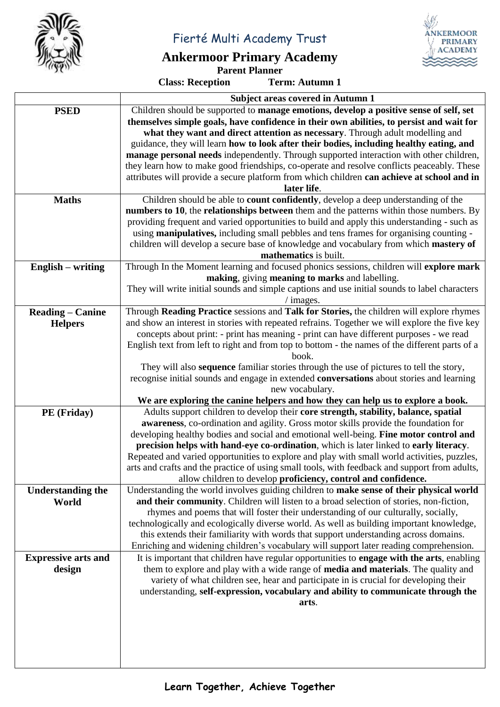

Fierté Multi Academy Trust

## **Ankermoor Primary Academy**



**Class: Reception** 

**Parent Planner**<br> **Ferm: Autumn 1** 

|                            | <b>Subject areas covered in Autumn 1</b>                                                                                                                                             |  |  |
|----------------------------|--------------------------------------------------------------------------------------------------------------------------------------------------------------------------------------|--|--|
| <b>PSED</b>                | Children should be supported to manage emotions, develop a positive sense of self, set                                                                                               |  |  |
|                            | themselves simple goals, have confidence in their own abilities, to persist and wait for                                                                                             |  |  |
|                            | what they want and direct attention as necessary. Through adult modelling and                                                                                                        |  |  |
|                            | guidance, they will learn how to look after their bodies, including healthy eating, and                                                                                              |  |  |
|                            | manage personal needs independently. Through supported interaction with other children,                                                                                              |  |  |
|                            | they learn how to make good friendships, co-operate and resolve conflicts peaceably. These                                                                                           |  |  |
|                            | attributes will provide a secure platform from which children can achieve at school and in                                                                                           |  |  |
|                            | later life.                                                                                                                                                                          |  |  |
| <b>Maths</b>               | Children should be able to <b>count confidently</b> , develop a deep understanding of the<br>numbers to 10, the relationships between them and the patterns within those numbers. By |  |  |
|                            | providing frequent and varied opportunities to build and apply this understanding - such as                                                                                          |  |  |
|                            | using manipulatives, including small pebbles and tens frames for organising counting -                                                                                               |  |  |
|                            | children will develop a secure base of knowledge and vocabulary from which mastery of                                                                                                |  |  |
|                            | mathematics is built.                                                                                                                                                                |  |  |
| $English - writing$        | Through In the Moment learning and focused phonics sessions, children will explore mark                                                                                              |  |  |
|                            | making, giving meaning to marks and labelling.                                                                                                                                       |  |  |
|                            | They will write initial sounds and simple captions and use initial sounds to label characters                                                                                        |  |  |
|                            | $/$ images.                                                                                                                                                                          |  |  |
| <b>Reading - Canine</b>    | Through Reading Practice sessions and Talk for Stories, the children will explore rhymes                                                                                             |  |  |
| <b>Helpers</b>             | and show an interest in stories with repeated refrains. Together we will explore the five key                                                                                        |  |  |
|                            | concepts about print: - print has meaning - print can have different purposes - we read                                                                                              |  |  |
|                            | English text from left to right and from top to bottom - the names of the different parts of a                                                                                       |  |  |
|                            | book.<br>They will also sequence familiar stories through the use of pictures to tell the story,                                                                                     |  |  |
|                            |                                                                                                                                                                                      |  |  |
|                            | recognise initial sounds and engage in extended conversations about stories and learning<br>new vocabulary.                                                                          |  |  |
|                            | We are exploring the canine helpers and how they can help us to explore a book.                                                                                                      |  |  |
| PE (Friday)                | Adults support children to develop their core strength, stability, balance, spatial                                                                                                  |  |  |
|                            | awareness, co-ordination and agility. Gross motor skills provide the foundation for                                                                                                  |  |  |
|                            | developing healthy bodies and social and emotional well-being. Fine motor control and                                                                                                |  |  |
|                            | precision helps with hand-eye co-ordination, which is later linked to early literacy.                                                                                                |  |  |
|                            | Repeated and varied opportunities to explore and play with small world activities, puzzles,                                                                                          |  |  |
|                            | arts and crafts and the practice of using small tools, with feedback and support from adults,                                                                                        |  |  |
|                            | allow children to develop proficiency, control and confidence.                                                                                                                       |  |  |
| <b>Understanding the</b>   | Understanding the world involves guiding children to make sense of their physical world                                                                                              |  |  |
| World                      | and their community. Children will listen to a broad selection of stories, non-fiction,                                                                                              |  |  |
|                            | rhymes and poems that will foster their understanding of our culturally, socially,                                                                                                   |  |  |
|                            | technologically and ecologically diverse world. As well as building important knowledge,<br>this extends their familiarity with words that support understanding across domains.     |  |  |
|                            | Enriching and widening children's vocabulary will support later reading comprehension.                                                                                               |  |  |
| <b>Expressive arts and</b> | It is important that children have regular opportunities to engage with the arts, enabling                                                                                           |  |  |
| design                     | them to explore and play with a wide range of media and materials. The quality and                                                                                                   |  |  |
|                            | variety of what children see, hear and participate in is crucial for developing their                                                                                                |  |  |
|                            | understanding, self-expression, vocabulary and ability to communicate through the                                                                                                    |  |  |
|                            | arts.                                                                                                                                                                                |  |  |
|                            |                                                                                                                                                                                      |  |  |
|                            |                                                                                                                                                                                      |  |  |
|                            |                                                                                                                                                                                      |  |  |
|                            |                                                                                                                                                                                      |  |  |